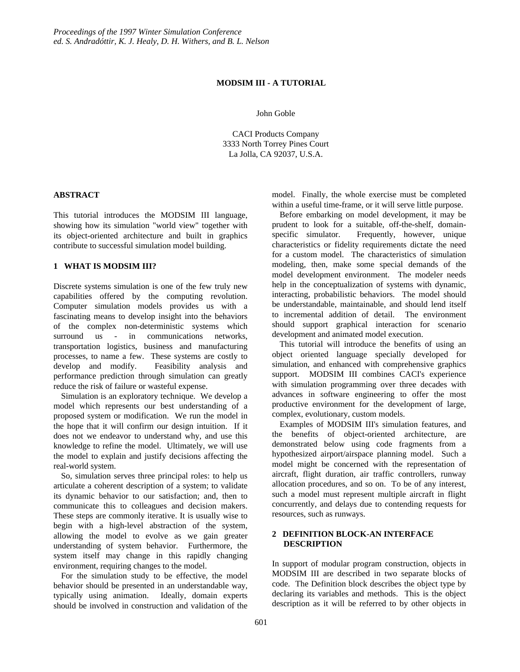## **MODSIM III - A TUTORIAL**

John Goble

CACI Products Company 3333 North Torrey Pines Court La Jolla, CA 92037, U.S.A.

## **ABSTRACT**

This tutorial introduces the MODSIM III language, showing how its simulation "world view" together with its object-oriented architecture and built in graphics contribute to successful simulation model building.

## **1 WHAT IS MODSIM III?**

Discrete systems simulation is one of the few truly new capabilities offered by the computing revolution. Computer simulation models provides us with a fascinating means to develop insight into the behaviors of the complex non-deterministic systems which surround us - in communications networks, transportation logistics, business and manufacturing processes, to name a few. These systems are costly to develop and modify. Feasibility analysis and performance prediction through simulation can greatly reduce the risk of failure or wasteful expense.

Simulation is an exploratory technique. We develop a model which represents our best understanding of a proposed system or modification. We run the model in the hope that it will confirm our design intuition. If it does not we endeavor to understand why, and use this knowledge to refine the model. Ultimately, we will use the model to explain and justify decisions affecting the real-world system.

So, simulation serves three principal roles: to help us articulate a coherent description of a system; to validate its dynamic behavior to our satisfaction; and, then to communicate this to colleagues and decision makers. These steps are commonly iterative. It is usually wise to begin with a high-level abstraction of the system, allowing the model to evolve as we gain greater understanding of system behavior. Furthermore, the system itself may change in this rapidly changing environment, requiring changes to the model.

For the simulation study to be effective, the model behavior should be presented in an understandable way, typically using animation. Ideally, domain experts should be involved in construction and validation of the

model. Finally, the whole exercise must be completed within a useful time-frame, or it will serve little purpose.

Before embarking on model development, it may be prudent to look for a suitable, off-the-shelf, domainspecific simulator. Frequently, however, unique characteristics or fidelity requirements dictate the need for a custom model. The characteristics of simulation modeling, then, make some special demands of the model development environment. The modeler needs help in the conceptualization of systems with dynamic, interacting, probabilistic behaviors. The model should be understandable, maintainable, and should lend itself to incremental addition of detail. The environment should support graphical interaction for scenario development and animated model execution.

This tutorial will introduce the benefits of using an object oriented language specially developed for simulation, and enhanced with comprehensive graphics support. MODSIM III combines CACI's experience with simulation programming over three decades with advances in software engineering to offer the most productive environment for the development of large, complex, evolutionary, custom models.

Examples of MODSIM III's simulation features, and the benefits of object-oriented architecture, are demonstrated below using code fragments from a hypothesized airport/airspace planning model. Such a model might be concerned with the representation of aircraft, flight duration, air traffic controllers, runway allocation procedures, and so on. To be of any interest, such a model must represent multiple aircraft in flight concurrently, and delays due to contending requests for resources, such as runways.

## **2 DEFINITION BLOCK-AN INTERFACE DESCRIPTION**

In support of modular program construction, objects in MODSIM III are described in two separate blocks of code. The Definition block describes the object type by declaring its variables and methods. This is the object description as it will be referred to by other objects in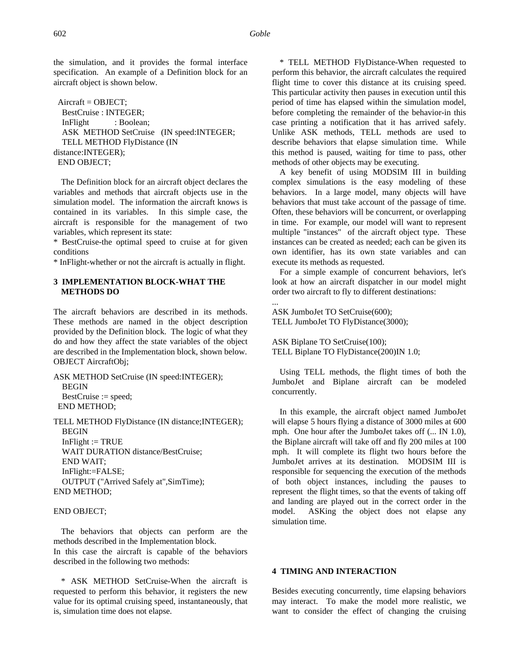the simulation, and it provides the formal interface specification. An example of a Definition block for an aircraft object is shown below.

 Aircraft = OBJECT; BestCruise : INTEGER; InFlight : Boolean; ASK METHOD SetCruise (IN speed:INTEGER; TELL METHOD FlyDistance (IN distance:INTEGER); END OBJECT;

The Definition block for an aircraft object declares the variables and methods that aircraft objects use in the simulation model. The information the aircraft knows is contained in its variables. In this simple case, the aircraft is responsible for the management of two variables, which represent its state:

\* BestCruise-the optimal speed to cruise at for given conditions

\* InFlight-whether or not the aircraft is actually in flight.

#### **3 IMPLEMENTATION BLOCK-WHAT THE METHODS DO**

The aircraft behaviors are described in its methods. These methods are named in the object description provided by the Definition block. The logic of what they do and how they affect the state variables of the object are described in the Implementation block, shown below. OBJECT AircraftObj;

ASK METHOD SetCruise (IN speed:INTEGER); BEGIN BestCruise := speed; END METHOD;

TELL METHOD FlyDistance (IN distance;INTEGER); BEGIN  $InF light := TRUE$  WAIT DURATION distance/BestCruise; END WAIT; InFlight:=FALSE; OUTPUT ("Arrived Safely at",SimTime); END METHOD;

#### END OBJECT;

The behaviors that objects can perform are the methods described in the Implementation block. In this case the aircraft is capable of the behaviors described in the following two methods:

\* ASK METHOD SetCruise-When the aircraft is requested to perform this behavior, it registers the new value for its optimal cruising speed, instantaneously, that is, simulation time does not elapse.

\* TELL METHOD FlyDistance-When requested to perform this behavior, the aircraft calculates the required flight time to cover this distance at its cruising speed. This particular activity then pauses in execution until this period of time has elapsed within the simulation model, before completing the remainder of the behavior-in this case printing a notification that it has arrived safely. Unlike ASK methods, TELL methods are used to describe behaviors that elapse simulation time. While this method is paused, waiting for time to pass, other methods of other objects may be executing.

A key benefit of using MODSIM III in building complex simulations is the easy modeling of these behaviors. In a large model, many objects will have behaviors that must take account of the passage of time. Often, these behaviors will be concurrent, or overlapping in time. For example, our model will want to represent multiple "instances" of the aircraft object type. These instances can be created as needed; each can be given its own identifier, has its own state variables and can execute its methods as requested.

For a simple example of concurrent behaviors, let's look at how an aircraft dispatcher in our model might order two aircraft to fly to different destinations:

... ASK JumboJet TO SetCruise(600); TELL JumboJet TO FlyDistance(3000);

ASK Biplane TO SetCruise(100); TELL Biplane TO FlyDistance(200)IN 1.0;

Using TELL methods, the flight times of both the JumboJet and Biplane aircraft can be modeled concurrently.

In this example, the aircraft object named JumboJet will elapse 5 hours flying a distance of 3000 miles at 600 mph. One hour after the JumboJet takes off (... IN 1.0), the Biplane aircraft will take off and fly 200 miles at 100 mph. It will complete its flight two hours before the JumboJet arrives at its destination. MODSIM III is responsible for sequencing the execution of the methods of both object instances, including the pauses to represent the flight times, so that the events of taking off and landing are played out in the correct order in the model. ASKing the object does not elapse any simulation time.

#### **4 TIMING AND INTERACTION**

Besides executing concurrently, time elapsing behaviors may interact. To make the model more realistic, we want to consider the effect of changing the cruising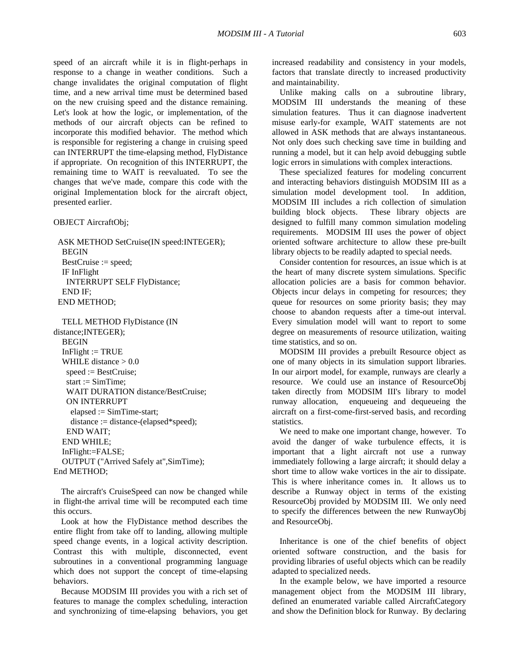speed of an aircraft while it is in flight-perhaps in response to a change in weather conditions. Such a change invalidates the original computation of flight time, and a new arrival time must be determined based on the new cruising speed and the distance remaining. Let's look at how the logic, or implementation, of the methods of our aircraft objects can be refined to incorporate this modified behavior. The method which is responsible for registering a change in cruising speed can INTERRUPT the time-elapsing method, FlyDistance if appropriate. On recognition of this INTERRUPT, the remaining time to WAIT is reevaluated. To see the changes that we've made, compare this code with the original Implementation block for the aircraft object, presented earlier.

OBJECT AircraftObj;

 ASK METHOD SetCruise(IN speed:INTEGER); BEGIN BestCruise := speed; IF InFlight INTERRUPT SELF FlyDistance; END IF; END METHOD;

 TELL METHOD FlyDistance (IN distance;INTEGER); BEGIN  $InF light := TRUE$  WHILE distance > 0.0 speed := BestCruise;  $start := SimTime;$  WAIT DURATION distance/BestCruise; ON INTERRUPT elapsed := SimTime-start; distance := distance-(elapsed\*speed); END WAIT; END WHILE; InFlight:=FALSE; OUTPUT ("Arrived Safely at",SimTime); End METHOD;

The aircraft's CruiseSpeed can now be changed while in flight-the arrival time will be recomputed each time this occurs.

Look at how the FlyDistance method describes the entire flight from take off to landing, allowing multiple speed change events, in a logical activity description. Contrast this with multiple, disconnected, event subroutines in a conventional programming language which does not support the concept of time-elapsing behaviors.

Because MODSIM III provides you with a rich set of features to manage the complex scheduling, interaction and synchronizing of time-elapsing behaviors, you get

increased readability and consistency in your models, factors that translate directly to increased productivity and maintainability.

Unlike making calls on a subroutine library, MODSIM III understands the meaning of these simulation features. Thus it can diagnose inadvertent misuse early-for example, WAIT statements are not allowed in ASK methods that are always instantaneous. Not only does such checking save time in building and running a model, but it can help avoid debugging subtle logic errors in simulations with complex interactions.

These specialized features for modeling concurrent and interacting behaviors distinguish MODSIM III as a simulation model development tool. In addition, MODSIM III includes a rich collection of simulation building block objects. These library objects are designed to fulfill many common simulation modeling requirements. MODSIM III uses the power of object oriented software architecture to allow these pre-built library objects to be readily adapted to special needs.

Consider contention for resources, an issue which is at the heart of many discrete system simulations. Specific allocation policies are a basis for common behavior. Objects incur delays in competing for resources; they queue for resources on some priority basis; they may choose to abandon requests after a time-out interval. Every simulation model will want to report to some degree on measurements of resource utilization, waiting time statistics, and so on.

MODSIM III provides a prebuilt Resource object as one of many objects in its simulation support libraries. In our airport model, for example, runways are clearly a resource. We could use an instance of ResourceObj taken directly from MODSIM III's library to model runway allocation, enqueueing and dequeueing the aircraft on a first-come-first-served basis, and recording statistics.

We need to make one important change, however. To avoid the danger of wake turbulence effects, it is important that a light aircraft not use a runway immediately following a large aircraft; it should delay a short time to allow wake vortices in the air to dissipate. This is where inheritance comes in. It allows us to describe a Runway object in terms of the existing ResourceObj provided by MODSIM III. We only need to specify the differences between the new RunwayObj and ResourceObj.

Inheritance is one of the chief benefits of object oriented software construction, and the basis for providing libraries of useful objects which can be readily adapted to specialized needs.

In the example below, we have imported a resource management object from the MODSIM III library, defined an enumerated variable called AircraftCategory and show the Definition block for Runway. By declaring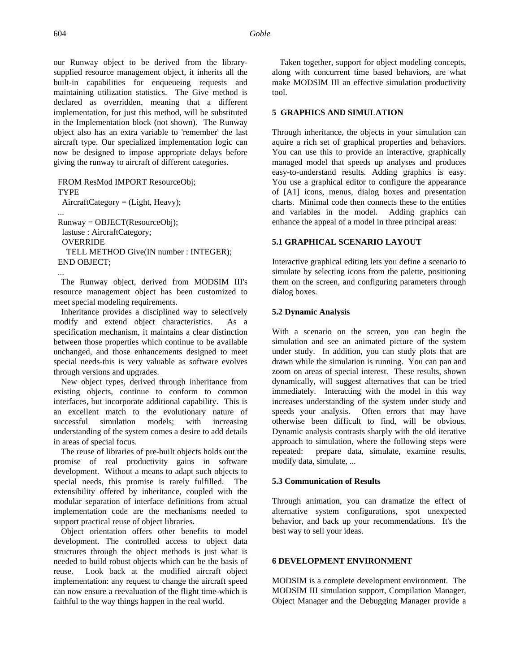our Runway object to be derived from the librarysupplied resource management object, it inherits all the built-in capabilities for enqueueing requests and maintaining utilization statistics. The Give method is declared as overridden, meaning that a different implementation, for just this method, will be substituted in the Implementation block (not shown). The Runway object also has an extra variable to 'remember' the last aircraft type. Our specialized implementation logic can now be designed to impose appropriate delays before giving the runway to aircraft of different categories.

 FROM ResMod IMPORT ResourceObj; TYPE AircraftCategory = (Light, Heavy); ... Runway = OBJECT(ResourceObj); lastuse : AircraftCategory; OVERRIDE TELL METHOD Give(IN number : INTEGER); END OBJECT; ...

The Runway object, derived from MODSIM III's resource management object has been customized to meet special modeling requirements.

Inheritance provides a disciplined way to selectively modify and extend object characteristics. As a specification mechanism, it maintains a clear distinction between those properties which continue to be available unchanged, and those enhancements designed to meet special needs-this is very valuable as software evolves through versions and upgrades.

New object types, derived through inheritance from existing objects, continue to conform to common interfaces, but incorporate additional capability. This is an excellent match to the evolutionary nature of successful simulation models; with increasing understanding of the system comes a desire to add details in areas of special focus.

The reuse of libraries of pre-built objects holds out the promise of real productivity gains in software development. Without a means to adapt such objects to special needs, this promise is rarely fulfilled. The extensibility offered by inheritance, coupled with the modular separation of interface definitions from actual implementation code are the mechanisms needed to support practical reuse of object libraries.

Object orientation offers other benefits to model development. The controlled access to object data structures through the object methods is just what is needed to build robust objects which can be the basis of reuse. Look back at the modified aircraft object implementation: any request to change the aircraft speed can now ensure a reevaluation of the flight time-which is faithful to the way things happen in the real world.

Taken together, support for object modeling concepts, along with concurrent time based behaviors, are what make MODSIM III an effective simulation productivity tool.

## **5 GRAPHICS AND SIMULATION**

Through inheritance, the objects in your simulation can aquire a rich set of graphical properties and behaviors. You can use this to provide an interactive, graphically managed model that speeds up analyses and produces easy-to-understand results. Adding graphics is easy. You use a graphical editor to configure the appearance of [A1] icons, menus, dialog boxes and presentation charts. Minimal code then connects these to the entities and variables in the model. Adding graphics can enhance the appeal of a model in three principal areas:

### **5.1 GRAPHICAL SCENARIO LAYOUT**

Interactive graphical editing lets you define a scenario to simulate by selecting icons from the palette, positioning them on the screen, and configuring parameters through dialog boxes.

#### **5.2 Dynamic Analysis**

With a scenario on the screen, you can begin the simulation and see an animated picture of the system under study. In addition, you can study plots that are drawn while the simulation is running. You can pan and zoom on areas of special interest. These results, shown dynamically, will suggest alternatives that can be tried immediately. Interacting with the model in this way increases understanding of the system under study and speeds your analysis. Often errors that may have otherwise been difficult to find, will be obvious. Dynamic analysis contrasts sharply with the old iterative approach to simulation, where the following steps were repeated: prepare data, simulate, examine results, modify data, simulate, ...

#### **5.3 Communication of Results**

Through animation, you can dramatize the effect of alternative system configurations, spot unexpected behavior, and back up your recommendations. It's the best way to sell your ideas.

## **6 DEVELOPMENT ENVIRONMENT**

MODSIM is a complete development environment. The MODSIM III simulation support, Compilation Manager, Object Manager and the Debugging Manager provide a